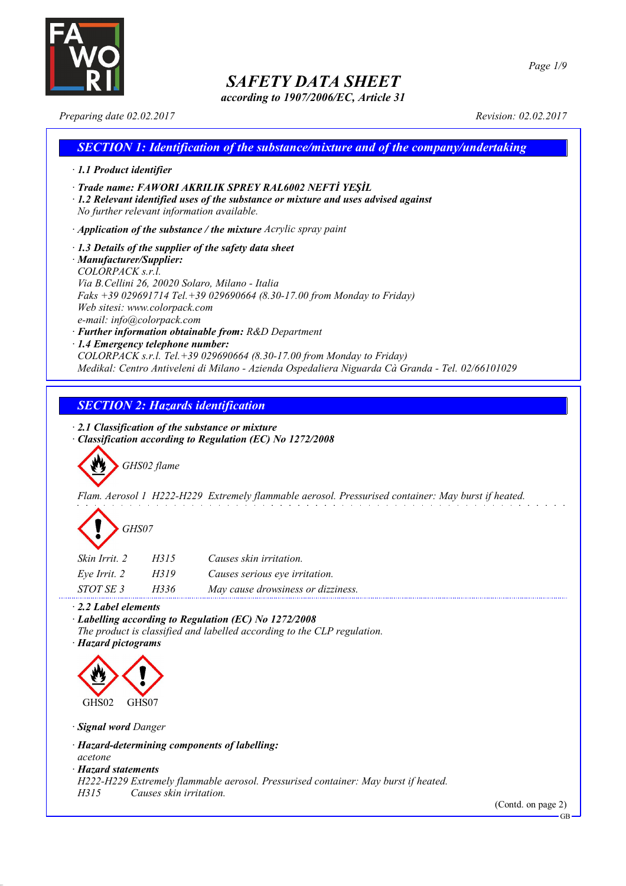

*according to 1907/2006/EC, Article 31*

*Page 1/9*

*Preparing date 02.02.2017 Revision: 02.02.2017*

# *SECTION 1: Identification of the substance/mixture and of the company/undertaking · 1.1 Product identifier · Trade name: FAWORI AKRILIK SPREY RAL6002 NEFTİ YEŞİL · 1.2 Relevant identified uses of the substance or mixture and uses advised against No further relevant information available. · Application of the substance / the mixture Acrylic spray paint · 1.3 Details of the supplier of the safety data sheet · Manufacturer/Supplier: COLORPACK s.r.l. Via B.Cellini 26, 20020 Solaro, Milano - Italia Faks +39 029691714 Tel.+39 029690664 (8.30-17.00 from Monday to Friday) Web sitesi: www.colorpack.com e-mail: info@colorpack.com · Further information obtainable from: R&D Department · 1.4 Emergency telephone number: COLORPACK s.r.l. Tel.+39 029690664 (8.30-17.00 from Monday to Friday) Medikal: Centro Antiveleni di Milano - Azienda Ospedaliera Niguarda Cà Granda - Tel. 02/66101029*

# *SECTION 2: Hazards identification*

*· 2.1 Classification of the substance or mixture*

*· Classification according to Regulation (EC) No 1272/2008*

*GHS02 flame*

*Flam. Aerosol 1 H222-H229 Extremely flammable aerosol. Pressurised container: May burst if heated.*

| GHS07 |
|-------|
|-------|

| Skin Irrit. 2 | H315 | Causes skin irritation.            |
|---------------|------|------------------------------------|
| Eve Irrit. 2  | H319 | Causes serious eye irritation.     |
| STOT SE 3     | H336 | May cause drowsiness or dizziness. |

*· 2.2 Label elements*

*· Labelling according to Regulation (EC) No 1272/2008*

*The product is classified and labelled according to the CLP regulation.*

*· Hazard pictograms*



*· Signal word Danger*

*· Hazard-determining components of labelling:*

*acetone*

*· Hazard statements*

*H222-H229 Extremely flammable aerosol. Pressurised container: May burst if heated.*

*H315 Causes skin irritation.*

(Contd. on page 2)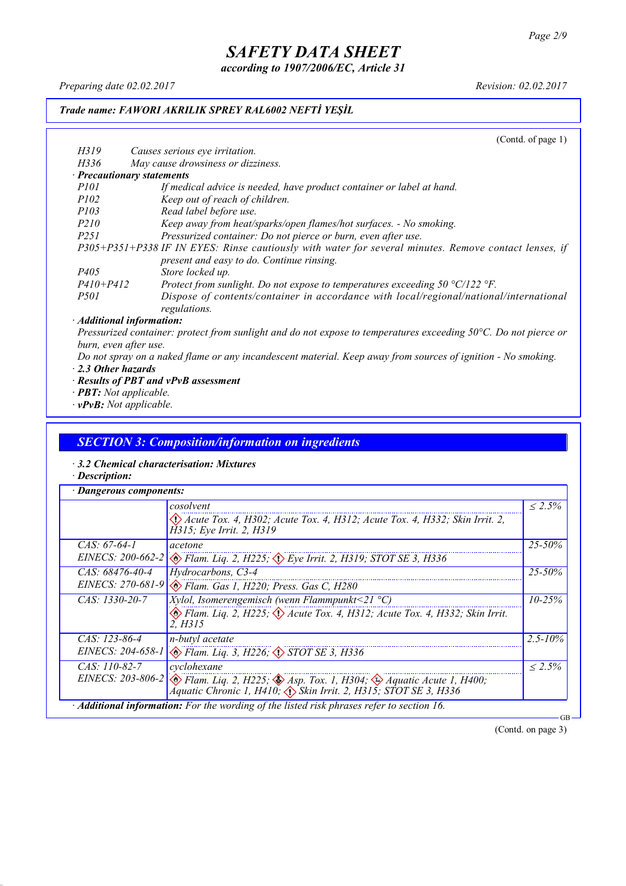*according to 1907/2006/EC, Article 31*

*Preparing date 02.02.2017 Revision: 02.02.2017*

## *Trade name: FAWORI AKRILIK SPREY RAL6002 NEFTİ YEŞİL*

(Contd. of page 1) *H319 Causes serious eye irritation. H336 May cause drowsiness or dizziness. · Precautionary statements P101 If medical advice is needed, have product container or label at hand. P102 Keep out of reach of children. P103 Read label before use. P210 Keep away from heat/sparks/open flames/hot surfaces. - No smoking. P251 Pressurized container: Do not pierce or burn, even after use. P305+P351+P338 IF IN EYES: Rinse cautiously with water for several minutes. Remove contact lenses, if present and easy to do. Continue rinsing. P405 Store locked up. P410+P412 Protect from sunlight. Do not expose to temperatures exceeding 50 °C/122 °F. P501 Dispose of contents/container in accordance with local/regional/national/international regulations. · Additional information:*

Pressurized container: protect from sunlight and do not expose to temperatures exceeding 50°C. Do not pierce or *burn, even after use.*

- Do not spray on a naked flame or any incandescent material. Keep away from sources of ignition No smoking. *· 2.3 Other hazards*
- *· Results of PBT and vPvB assessment*
- *· PBT: Not applicable.*
- *· vPvB: Not applicable.*

#### *SECTION 3: Composition/information on ingredients*

- *· 3.2 Chemical characterisation: Mixtures*
- *· Description:*

|                     | cosolvent                                                                                                                                                                                        | $\leq 2.5\%$ |
|---------------------|--------------------------------------------------------------------------------------------------------------------------------------------------------------------------------------------------|--------------|
|                     | $\langle \rangle$ Acute Tox. 4, H302; Acute Tox. 4, H312; Acute Tox. 4, H332; Skin Irrit. 2,<br>H315; Eye Irrit. 2, H319                                                                         |              |
| $CAS: 67-64-1$      | acetone                                                                                                                                                                                          | $25 - 50\%$  |
| EINECS: $200-662-2$ | $\otimes$ Flam. Liq. 2, H225; $\otimes$ Eye Irrit. 2, H319; STOT SE 3, H336                                                                                                                      |              |
| $CAS: 68476-40-4$   | Hydrocarbons, C3-4                                                                                                                                                                               | $25 - 50\%$  |
|                     | EINECS: 270-681-9 & Flam. Gas 1, H220; Press. Gas C, H280                                                                                                                                        |              |
| $CAS: 1330-20-7$    | <i>Xylol, Isomerengemisch (wenn Flammpunkt</i> <21 $^{\circ}$ C)                                                                                                                                 | $10 - 25\%$  |
|                     | Elam. Liq. 2, H225; $\Diamond$ Acute Tox. 4, H312; Acute Tox. 4, H332; Skin Irrit.<br>2. H315                                                                                                    |              |
| $CAS: 123-86-4$     | n-butyl acetate                                                                                                                                                                                  | $2.5 - 10\%$ |
|                     | EINECS: 204-658-1 & Flam. Liq. 3, H226; STOT SE 3, H336                                                                                                                                          |              |
| $CAS: 110-82-7$     | cyclohexane                                                                                                                                                                                      | $\leq 2.5\%$ |
|                     | EINECS: 203-806-2 $\otimes$ Flam. Liq. 2, H225; $\otimes$ Asp. Tox. 1, H304; $\otimes$ Aquatic Acute 1, H400;<br>Áquatic Chronic 1, H410, $\langle \rangle$ Skin Irrit. 2, H315; STOT SE 3, H336 |              |

(Contd. on page 3)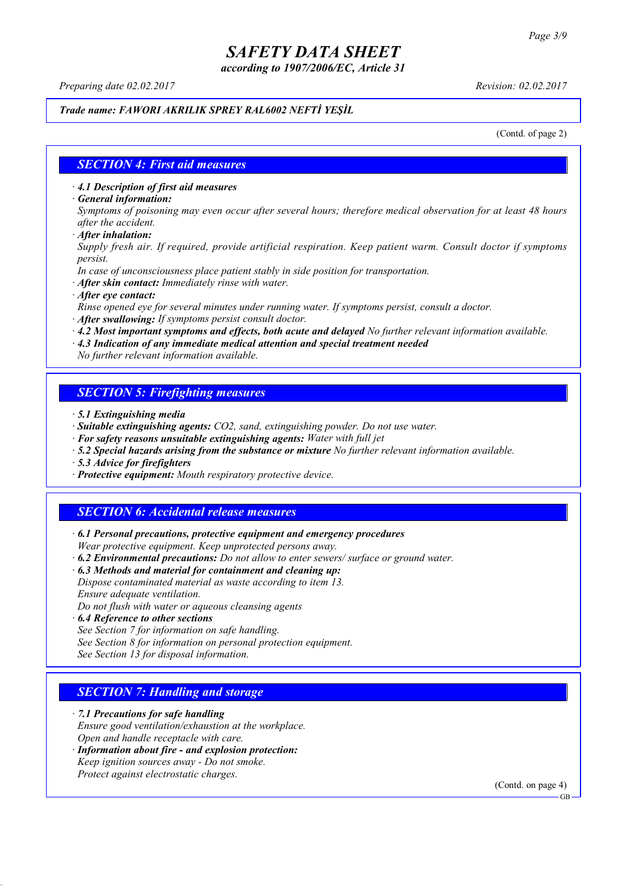*according to 1907/2006/EC, Article 31*

*Preparing date 02.02.2017 Revision: 02.02.2017*

#### *Trade name: FAWORI AKRILIK SPREY RAL6002 NEFTİ YEŞİL*

(Contd. of page 2)

### *SECTION 4: First aid measures*

*· 4.1 Description of first aid measures*

*· General information:*

Symptoms of poisoning may even occur after several hours; therefore medical observation for at least 48 hours *after the accident.*

*· After inhalation:*

*Supply fresh air. If required, provide artificial respiration. Keep patient warm. Consult doctor if symptoms persist.*

*In case of unconsciousness place patient stably in side position for transportation.*

- *· After skin contact: Immediately rinse with water.*
- *· After eye contact:*

*Rinse opened eye for several minutes under running water. If symptoms persist, consult a doctor.*

*· After swallowing: If symptoms persist consult doctor.*

*· 4.2 Most important symptoms and effects, both acute and delayed No further relevant information available.*

*· 4.3 Indication of any immediate medical attention and special treatment needed*

*No further relevant information available.*

### *SECTION 5: Firefighting measures*

- *· 5.1 Extinguishing media*
- *· Suitable extinguishing agents: CO2, sand, extinguishing powder. Do not use water.*
- *· For safety reasons unsuitable extinguishing agents: Water with full jet*
- *· 5.2 Special hazards arising from the substance or mixture No further relevant information available.*
- *· 5.3 Advice for firefighters*
- *· Protective equipment: Mouth respiratory protective device.*

### *SECTION 6: Accidental release measures*

*· 6.1 Personal precautions, protective equipment and emergency procedures Wear protective equipment. Keep unprotected persons away.*

*· 6.2 Environmental precautions: Do not allow to enter sewers/ surface or ground water.*

*· 6.3 Methods and material for containment and cleaning up:*

*Dispose contaminated material as waste according to item 13. Ensure adequate ventilation.*

*Do not flush with water or aqueous cleansing agents*

- *· 6.4 Reference to other sections*
- *See Section 7 for information on safe handling.*
- *See Section 8 for information on personal protection equipment.*

*See Section 13 for disposal information.*

### *SECTION 7: Handling and storage*

*· 7.1 Precautions for safe handling*

*Ensure good ventilation/exhaustion at the workplace.*

- *Open and handle receptacle with care.*
- *· Information about fire - and explosion protection: Keep ignition sources away - Do not smoke.*
- *Protect against electrostatic charges.*

(Contd. on page 4)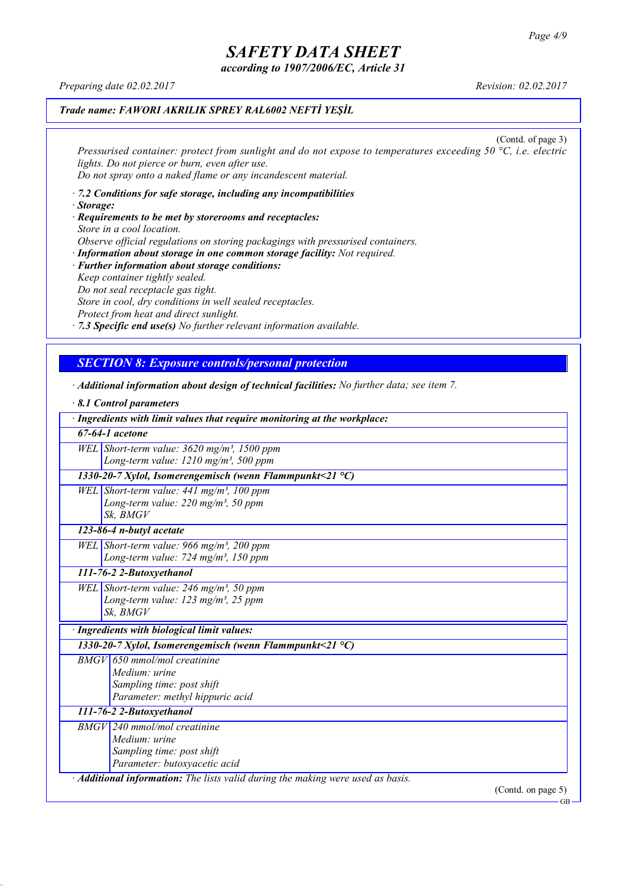*according to 1907/2006/EC, Article 31*

*Preparing date 02.02.2017 Revision: 02.02.2017*

### *Trade name: FAWORI AKRILIK SPREY RAL6002 NEFTİ YEŞİL*

(Contd. of page 3) *Pressurised container: protect from sunlight and do not expose to temperatures exceeding 50 °C, i.e. electric lights. Do not pierce or burn, even after use. Do not spray onto a naked flame or any incandescent material.*

- *· 7.2 Conditions for safe storage, including any incompatibilities · Storage:*
- *· Requirements to be met by storerooms and receptacles: Store in a cool location. Observe official regulations on storing packagings with pressurised containers.*
- *· Information about storage in one common storage facility: Not required. · Further information about storage conditions: Keep container tightly sealed. Do not seal receptacle gas tight. Store in cool, dry conditions in well sealed receptacles. Protect from heat and direct sunlight.*

*· 7.3 Specific end use(s) No further relevant information available.*

# *SECTION 8: Exposure controls/personal protection*

- 
- *· Additional information about design of technical facilities: No further data; see item 7. · 8.1 Control parameters · Ingredients with limit values that require monitoring at the workplace: 67-64-1 acetone WEL Short-term value: 3620 mg/m³, 1500 ppm Long-term value: 1210 mg/m³, 500 ppm 1330-20-7 Xylol, Isomerengemisch (wenn Flammpunkt<21 °C) WEL Short-term value: 441 mg/m³, 100 ppm Long-term value: 220 mg/m³, 50 ppm Sk, BMGV 123-86-4 n-butyl acetate WEL Short-term value: 966 mg/m³, 200 ppm Long-term value: 724 mg/m³, 150 ppm 111-76-2 2-Butoxyethanol WEL Short-term value: 246 mg/m³, 50 ppm Long-term value: 123 mg/m³, 25 ppm Sk, BMGV · Ingredients with biological limit values: 1330-20-7 Xylol, Isomerengemisch (wenn Flammpunkt<21 °C) BMGV 650 mmol/mol creatinine Medium: urine Sampling time: post shift Parameter: methyl hippuric acid 111-76-2 2-Butoxyethanol BMGV 240 mmol/mol creatinine Medium: urine Sampling time: post shift Parameter: butoxyacetic acid · Additional information: The lists valid during the making were used as basis.* (Contd. on page 5)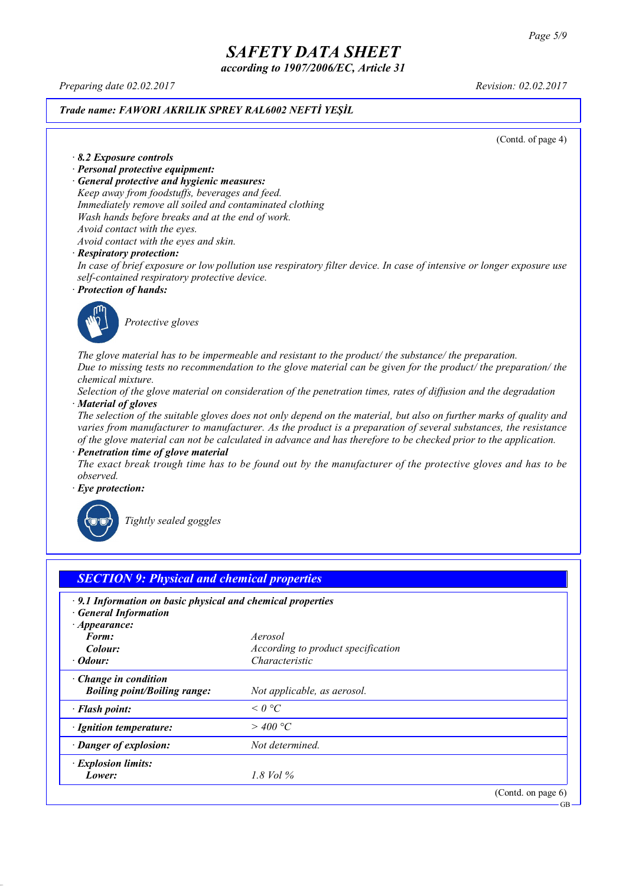*according to 1907/2006/EC, Article 31*

*Preparing date 02.02.2017 Revision: 02.02.2017*

# *Trade name: FAWORI AKRILIK SPREY RAL6002 NEFTİ YEŞİL*

(Contd. of page 4)

#### *· 8.2 Exposure controls*

- *· Personal protective equipment:*
- *· General protective and hygienic measures:*

*Keep away from foodstuffs, beverages and feed. Immediately remove all soiled and contaminated clothing Wash hands before breaks and at the end of work. Avoid contact with the eyes.*

*Avoid contact with the eyes and skin.*

#### *· Respiratory protection:*

In case of brief exposure or low pollution use respiratory filter device. In case of intensive or longer exposure use *self-contained respiratory protective device.*

*· Protection of hands:*



*Protective gloves*

*The glove material has to be impermeable and resistant to the product/ the substance/ the preparation.* Due to missing tests no recommendation to the glove material can be given for the product/ the preparation/ the *chemical mixture.*

Selection of the glove material on consideration of the penetration times, rates of diffusion and the degradation *· Material of gloves*

The selection of the suitable gloves does not only depend on the material, but also on further marks of quality and *varies from manufacturer to manufacturer. As the product is a preparation of several substances, the resistance* of the glove material can not be calculated in advance and has therefore to be checked prior to the application.

*· Penetration time of glove material*

The exact break trough time has to be found out by the manufacturer of the protective gloves and has to be *observed.*

*· Eye protection:*



*Tightly sealed goggles*

| $\cdot$ 9.1 Information on basic physical and chemical properties<br><b>General Information</b> |                                    |  |
|-------------------------------------------------------------------------------------------------|------------------------------------|--|
| $\cdot$ Appearance:<br>Form:                                                                    | Aerosol                            |  |
| Colour:                                                                                         | According to product specification |  |
| $\cdot$ Odour:                                                                                  | Characteristic                     |  |
| $\cdot$ Change in condition<br><b>Boiling point/Boiling range:</b>                              | Not applicable, as aerosol.        |  |
| · Flash point:                                                                                  | $\leq 0$ °C                        |  |
| · Ignition temperature:                                                                         | $>$ 400 °C                         |  |
| · Danger of explosion:                                                                          | Not determined.                    |  |
| · Explosion limits:                                                                             |                                    |  |
| Lower:                                                                                          | 1.8 Vol $\%$                       |  |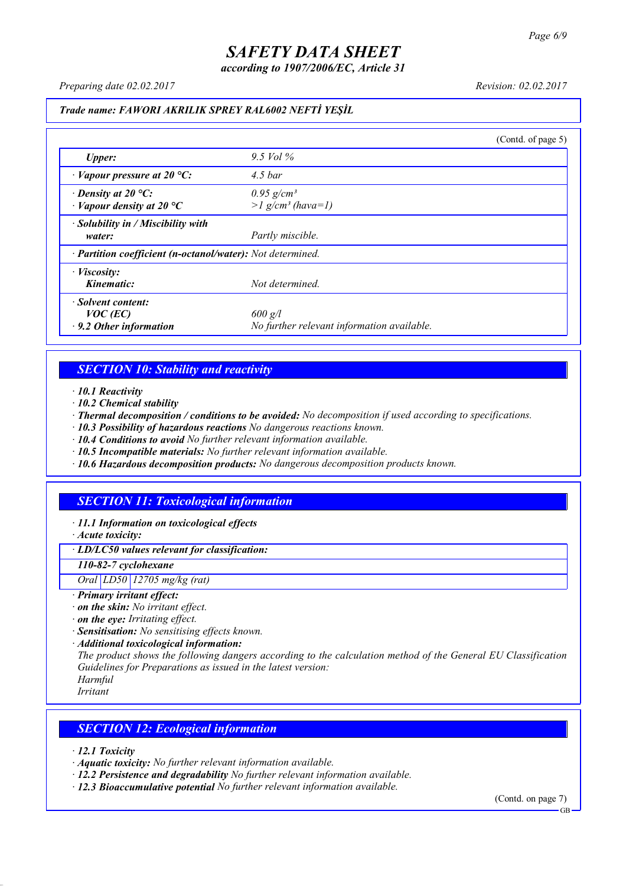*according to 1907/2006/EC, Article 31*

*Preparing date 02.02.2017 Revision: 02.02.2017*

#### *Trade name: FAWORI AKRILIK SPREY RAL6002 NEFTİ YEŞİL*

|                                                                 |                                                             | (Contd. of page 5) |
|-----------------------------------------------------------------|-------------------------------------------------------------|--------------------|
| <b>Upper:</b>                                                   | 9.5 Vol $\%$                                                |                    |
| $\cdot$ Vapour pressure at 20 °C:                               | $4.5$ bar                                                   |                    |
| $\cdot$ Density at 20 °C:<br>$\cdot$ Vapour density at 20 °C    | $0.95$ g/cm <sup>3</sup><br>$>1$ g/cm <sup>3</sup> (hava=1) |                    |
| · Solubility in / Miscibility with<br>water:                    | Partly miscible.                                            |                    |
| · Partition coefficient (n-octanol/water): Not determined.      |                                                             |                    |
| $\cdot$ <i>Viscosity:</i><br>Kinematic:                         | Not determined.                                             |                    |
| Solvent content:<br>$VOC$ (EC)<br>$\cdot$ 9.2 Other information | $600$ g/l<br>No further relevant information available.     |                    |

### *SECTION 10: Stability and reactivity*

*· 10.1 Reactivity*

- *· 10.2 Chemical stability*
- *· Thermal decomposition / conditions to be avoided: No decomposition if used according to specifications.*
- *· 10.3 Possibility of hazardous reactions No dangerous reactions known.*
- *· 10.4 Conditions to avoid No further relevant information available.*
- *· 10.5 Incompatible materials: No further relevant information available.*
- *· 10.6 Hazardous decomposition products: No dangerous decomposition products known.*

# *SECTION 11: Toxicological information*

*· 11.1 Information on toxicological effects*

*· Acute toxicity:*

*· LD/LC50 values relevant for classification:*

*110-82-7 cyclohexane*

*Oral LD50 12705 mg/kg (rat)*

- *· Primary irritant effect:*
- *· on the skin: No irritant effect.*
- *· on the eye: Irritating effect.*
- *· Sensitisation: No sensitising effects known.*
- *· Additional toxicological information:*

*The product shows the following dangers according to the calculation method of the General EU Classification Guidelines for Preparations as issued in the latest version:*

*Harmful Irritant*

### *SECTION 12: Ecological information*

*· 12.1 Toxicity*

- *· Aquatic toxicity: No further relevant information available.*
- *· 12.2 Persistence and degradability No further relevant information available.*
- *· 12.3 Bioaccumulative potential No further relevant information available.*

(Contd. on page 7) **GB**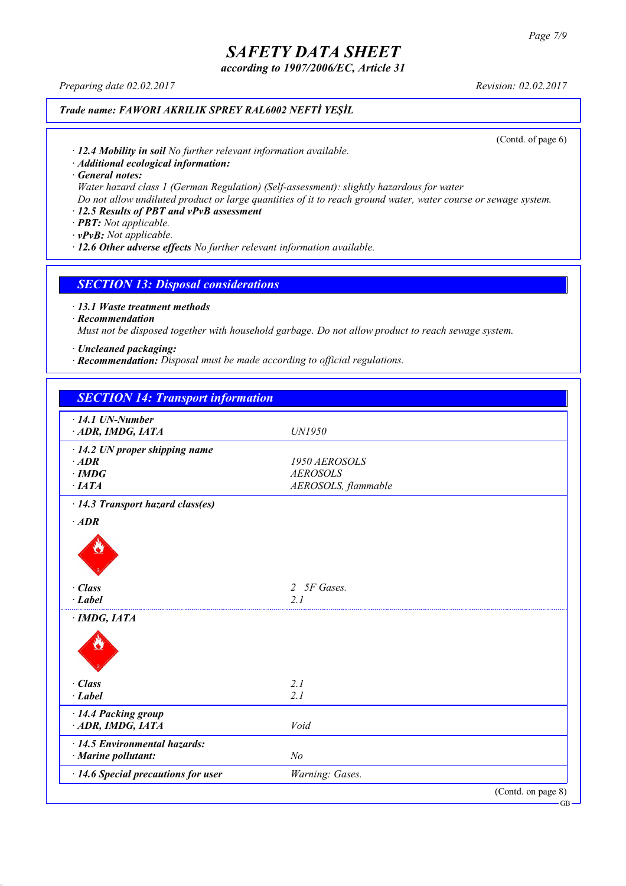*according to 1907/2006/EC, Article 31*

*Preparing date 02.02.2017 Revision: 02.02.2017*

## *Trade name: FAWORI AKRILIK SPREY RAL6002 NEFTİ YEŞİL*

(Contd. of page 6)

*· 12.4 Mobility in soil No further relevant information available.*

*· Additional ecological information:*

*· General notes:*

*Water hazard class 1 (German Regulation) (Self-assessment): slightly hazardous for water*

Do not allow undiluted product or large quantities of it to reach ground water, water course or sewage system.

# *· 12.5 Results of PBT and vPvB assessment*

*· PBT: Not applicable.*

*· vPvB: Not applicable.*

*· 12.6 Other adverse effects No further relevant information available.*

#### *SECTION 13: Disposal considerations*

*· 13.1 Waste treatment methods*

*· Recommendation*

*Must not be disposed together with household garbage. Do not allow product to reach sewage system.*

*· Uncleaned packaging:*

*· Recommendation: Disposal must be made according to official regulations.*

| <b>SECTION 14: Transport information</b> |                             |                    |
|------------------------------------------|-----------------------------|--------------------|
| $\cdot$ 14.1 UN-Number                   |                             |                    |
| ADR, IMDG, IATA                          | UN1950                      |                    |
| $\cdot$ 14.2 UN proper shipping name     |                             |                    |
| $·$ <i>ADR</i>                           | 1950 AEROSOLS               |                    |
| $\cdot$ IMDG                             | <b>AEROSOLS</b>             |                    |
| $\cdot$ IATA                             | AEROSOLS, flammable         |                    |
| · 14.3 Transport hazard class(es)        |                             |                    |
| $·$ <i>ADR</i>                           |                             |                    |
|                                          |                             |                    |
| · Class                                  | 5F Gases.<br>$\overline{2}$ |                    |
| $-Label$                                 | 21                          |                    |
| $\cdot$ IMDG, IATA                       |                             |                    |
|                                          |                             |                    |
| · Class                                  | 2.1                         |                    |
| $\cdot$ Label                            | 2.1                         |                    |
| · 14.4 Packing group                     |                             |                    |
| ADR, IMDG, IATA                          | Void                        |                    |
| · 14.5 Environmental hazards:            |                             |                    |
| $\cdot$ Marine pollutant:                | N <sub>o</sub>              |                    |
| · 14.6 Special precautions for user      | Warning: Gases.             |                    |
|                                          |                             | (Contd. on page 8) |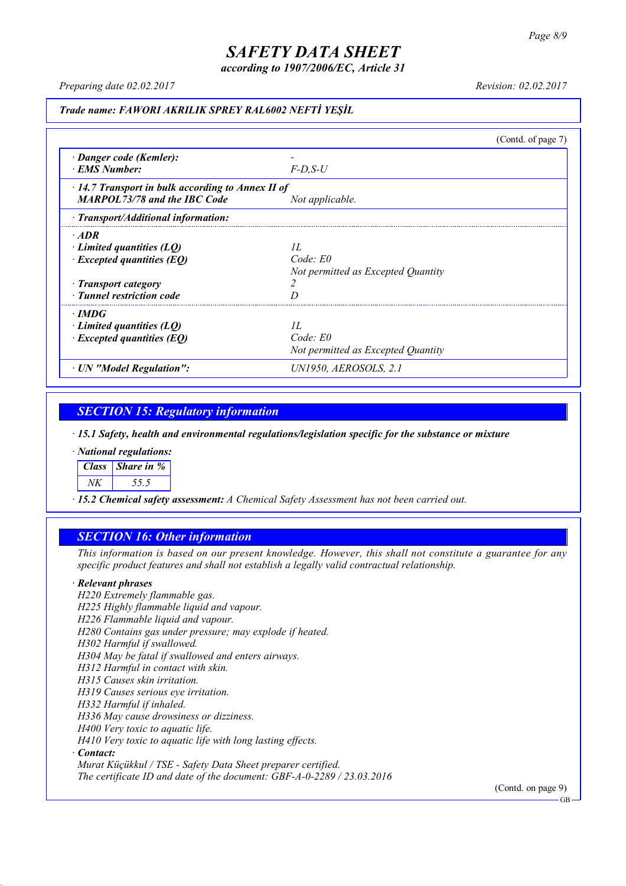*according to 1907/2006/EC, Article 31*

*Preparing date 02.02.2017 Revision: 02.02.2017*

### *Trade name: FAWORI AKRILIK SPREY RAL6002 NEFTİ YEŞİL*

|                                                                                                                                         |                                                          | (Contd. of page 7) |
|-----------------------------------------------------------------------------------------------------------------------------------------|----------------------------------------------------------|--------------------|
| · Danger code (Kemler):<br>· EMS Number:                                                                                                | $F$ -D.S-U                                               |                    |
| $\cdot$ 14.7 Transport in bulk according to Annex II of<br><b>MARPOL73/78 and the IBC Code</b>                                          | Not applicable.                                          |                    |
| $\cdot$ Transport/Additional information:                                                                                               |                                                          |                    |
| $\cdot$ ADR<br>$\cdot$ Limited quantities (LQ)<br>$\cdot$ Excepted quantities (EQ)<br>· Transport category<br>· Tunnel restriction code | II.<br>Code: E0<br>Not permitted as Excepted Quantity    |                    |
| $\cdot$ IMDG<br>$\cdot$ Limited quantities (LQ)<br>$\cdot$ Excepted quantities (EQ)                                                     | II.<br>$Code$ $E0$<br>Not permitted as Excepted Quantity |                    |
| · UN "Model Regulation":                                                                                                                | UN1950, AEROSOLS, 2.1                                    |                    |

# *SECTION 15: Regulatory information*

*· 15.1 Safety, health and environmental regulations/legislation specific for the substance or mixture*

*· National regulations:*

*Class Share in %*

*NK 55.5*

*· 15.2 Chemical safety assessment: A Chemical Safety Assessment has not been carried out.*

### *SECTION 16: Other information*

This information is based on our present knowledge. However, this shall not constitute a guarantee for any *specific product features and shall not establish a legally valid contractual relationship.*

#### *· Relevant phrases*

*H220 Extremely flammable gas. H225 Highly flammable liquid and vapour. H226 Flammable liquid and vapour. H280 Contains gas under pressure; may explode if heated. H302 Harmful if swallowed. H304 May be fatal if swallowed and enters airways. H312 Harmful in contact with skin. H315 Causes skin irritation. H319 Causes serious eye irritation. H332 Harmful if inhaled. H336 May cause drowsiness or dizziness. H400 Very toxic to aquatic life. H410 Very toxic to aquatic life with long lasting effects. · Contact: Murat Küçükkul / TSE - Safety Data Sheet preparer certified.*

*The certificate ID and date of the document: GBF-A-0-2289 / 23.03.2016*

(Contd. on page 9)

GB